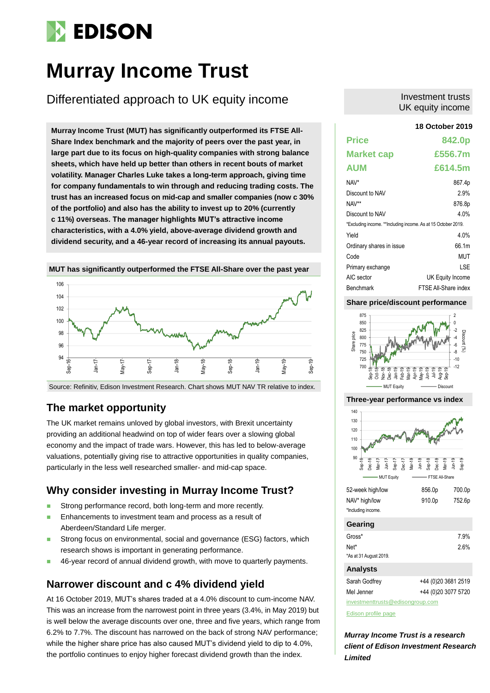# **EDISON**

# **Murray Income Trust**

# Differentiated approach to UK equity income

**18 October 2019 Murray Income Trust (MUT) has significantly outperformed its FTSE All-Share Index benchmark and the majority of peers over the past year, in large part due to its focus on high-quality companies with strong balance sheets, which have held up better than others in recent bouts of market volatility. Manager Charles Luke takes a long-term approach, giving time for company fundamentals to win through and reducing trading costs. The trust has an increased focus on mid-cap and smaller companies (now c 30% of the portfolio) and also has the ability to invest up to 20% (currently c 11%) overseas. The manager highlights MUT's attractive income characteristics, with a 4.0% yield, above-average dividend growth and dividend security, and a 46-year record of increasing its annual payouts.** 



Source: Refinitiv, Edison Investment Research. Chart shows MUT NAV TR relative to index.

# **The market opportunity**

The UK market remains unloved by global investors, with Brexit uncertainty providing an additional headwind on top of wider fears over a slowing global economy and the impact of trade wars. However, this has led to below-average valuations, potentially giving rise to attractive opportunities in quality companies, particularly in the less well researched smaller- and mid-cap space.

# **Why consider investing in Murray Income Trust?**

- Strong performance record, both long-term and more recently.
- Enhancements to investment team and process as a result of Aberdeen/Standard Life merger.
- **Strong focus on environmental, social and governance (ESG) factors, which** research shows is important in generating performance.
- 46-year record of annual dividend growth, with move to quarterly payments.

# **Narrower discount and c 4% dividend yield**

At 16 October 2019, MUT's shares traded at a 4.0% discount to cum-income NAV. This was an increase from the narrowest point in three years (3.4%, in May 2019) but is well below the average discounts over one, three and five years, which range from 6.2% to 7.7%. The discount has narrowed on the back of strong NAV performance; while the higher share price has also caused MUT's dividend yield to dip to 4.0%, the portfolio continues to enjoy higher forecast dividend growth than the index.

### Investment trusts UK equity income

| <b>Price</b>                                                  | 842.0p               |
|---------------------------------------------------------------|----------------------|
| <b>Market cap</b>                                             | £556.7m              |
| <b>AUM</b>                                                    | £614.5m              |
| NAV*                                                          | 867.4p               |
| Discount to NAV                                               | 2.9%                 |
| NAV**                                                         | 876.8p               |
| Discount to NAV                                               | 4 በ%                 |
| *Excluding income. **Including income. As at 15 October 2019. |                      |
| Yield                                                         | 4.0%                 |
| Ordinary shares in issue                                      | 66.1m                |
| Code                                                          | MUT                  |
| Primary exchange                                              | I SF                 |
| AIC sector                                                    | UK Equity Income     |
| Benchmark                                                     | FTSE All-Share index |

### **Share price/discount performance**



#### **Three-year performance vs index**



| <b>Gearing</b>         |                     |
|------------------------|---------------------|
| Gross*                 | 7.9%                |
| Net*                   | 2.6%                |
| *As at 31 August 2019. |                     |
| <b>Analysts</b>        |                     |
| Sarah Godfrey          | +44 (0)20 3681 2519 |
| Mel Jenner             | +44 (0)20 3077 5720 |

[investmenttrusts@edisongroup.com](mailto:investmenttrusts@edisongroup.com)

[Edison profile page](https://www.edisongroup.com/company/murray-income-trust/8334/)

*Murray Income Trust is a research client of Edison Investment Research Limited*

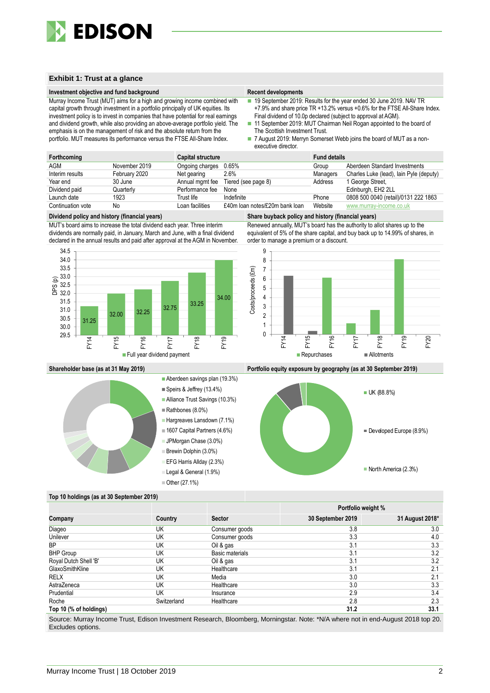

### **Exhibit 1: Trust at a glance**

#### **Investment objective and fund background Recent developments Recent developments**

Murray Income Trust (MUT) aims for a high and growing income combined with capital growth through investment in a portfolio principally of UK equities. Its investment policy is to invest in companies that have potential for real earnings and dividend growth, while also providing an above-average portfolio yield. The emphasis is on the management of risk and the absolute return from the portfolio. MUT measures its performance versus the FTSE All-Share Index.

- 19 September 2019: Results for the year ended 30 June 2019. NAV TR +7.9% and share price TR +13.2% versus +0.6% for the FTSE All-Share Index. Final dividend of 10.0p declared (subject to approval at AGM).
- 11 September 2019: MUT Chairman Neil Rogan appointed to the board of The Scottish Investment Trust.
- 7 August 2019: Merryn Somerset Webb joins the board of MUT as a nonexecutive director.

| Forthcoming       |               | <b>Capital structure</b> |                                     | <b>Fund details</b> |                                         |
|-------------------|---------------|--------------------------|-------------------------------------|---------------------|-----------------------------------------|
| <b>AGM</b>        | November 2019 | Ongoing charges 0.65%    |                                     | Group               | Aberdeen Standard Investments           |
| Interim results   | February 2020 | Net gearing              | 2.6%                                | Managers            | Charles Luke (lead), lain Pyle (deputy) |
| Year end          | 30 June       |                          | Annual mgmt fee Tiered (see page 8) | Address             | 1 George Street,                        |
| Dividend paid     | Quarterly     | Performance fee          | None                                |                     | Edinburgh, EH2 2LL                      |
| Launch date       | 1923          | Trust life               | Indefinite                          | Phone               | 0808 500 0040 (retail)/0131 222 1863    |
| Continuation vote | No            | Loan facilities          | £40m loan notes/£20m bank loan      | Website             | www.murray-income.co.uk                 |

MUT's board aims to increase the total dividend each year. Three interim dividends are normally paid, in January, March and June, with a final dividend declared in the annual results and paid after approval at the AGM in November.



#### **Dividend policy and history (financial years) Share buyback policy and history (financial years)**

Renewed annually, MUT's board has the authority to allot shares up to the equivalent of 5% of the share capital, and buy back up to 14.99% of shares, in order to manage a premium or a discount.





**Shareholder base (as at 31 May 2019) Portfolio equity exposure by geography (as at 30 September 2019)**



#### **Top 10 holdings (as at 30 September 2019)**

|                        |             |                 | Portfolio weight % |                 |
|------------------------|-------------|-----------------|--------------------|-----------------|
| Company                | Country     | <b>Sector</b>   | 30 September 2019  | 31 August 2018* |
| Diageo                 | UK          | Consumer goods  | 3.8                | 3.0             |
| Unilever               | UK          | Consumer goods  | 3.3                | 4.0             |
| <b>BP</b>              | UK          | Oil & gas       | 3.1                | 3.3             |
| <b>BHP Group</b>       | UK          | Basic materials | 3.1                | 3.2             |
| Royal Dutch Shell 'B'  | UK          | Oil & gas       | 3.1                | 3.2             |
| GlaxoSmithKline        | UK          | Healthcare      | 3.1                | 2.1             |
| <b>RELX</b>            | UK          | Media           | 3.0                | 2.1             |
| AstraZeneca            | UK          | Healthcare      | 3.0                | 3.3             |
| Prudential             | UK          | Insurance       | 2.9                | 3.4             |
| Roche                  | Switzerland | Healthcare      | 2.8                | 2.3             |
| Top 10 (% of holdings) |             |                 | 31.2               | 33.1            |

Source: Murray Income Trust, Edison Investment Research, Bloomberg, Morningstar. Note: \*N/A where not in end-August 2018 top 20. Excludes options.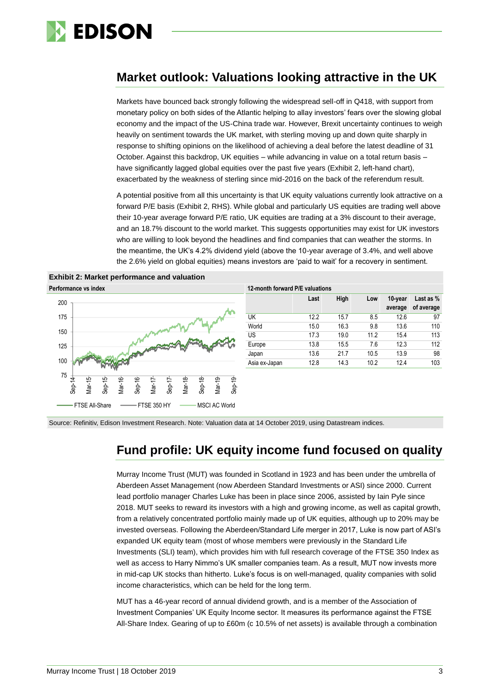

# **Market outlook: Valuations looking attractive in the UK**

Markets have bounced back strongly following the widespread sell-off in Q418, with support from monetary policy on both sides of the Atlantic helping to allay investors' fears over the slowing global economy and the impact of the US-China trade war. However, Brexit uncertainty continues to weigh heavily on sentiment towards the UK market, with sterling moving up and down quite sharply in response to shifting opinions on the likelihood of achieving a deal before the latest deadline of 31 October. Against this backdrop, UK equities – while advancing in value on a total return basis – have significantly lagged global equities over the past five years (Exhibit 2, left-hand chart), exacerbated by the weakness of sterling since mid-2016 on the back of the referendum result.

A potential positive from all this uncertainty is that UK equity valuations currently look attractive on a forward P/E basis (Exhibit 2, RHS). While global and particularly US equities are trading well above their 10-year average forward P/E ratio, UK equities are trading at a 3% discount to their average, and an 18.7% discount to the world market. This suggests opportunities may exist for UK investors who are willing to look beyond the headlines and find companies that can weather the storms. In the meantime, the UK's 4.2% dividend yield (above the 10-year average of 3.4%, and well above the 2.6% yield on global equities) means investors are 'paid to wait' for a recovery in sentiment.





| 12-month forward P/E valuations |      |      |      |                    |                         |  |  |  |  |
|---------------------------------|------|------|------|--------------------|-------------------------|--|--|--|--|
|                                 | Last | High | Low  | 10-year<br>average | Last as %<br>of average |  |  |  |  |
| UK                              | 12.2 | 15.7 | 8.5  | 12.6               | 97                      |  |  |  |  |
| World                           | 15.0 | 16.3 | 9.8  | 13.6               | 110                     |  |  |  |  |
| US                              | 17.3 | 19.0 | 11.2 | 15.4               | 113                     |  |  |  |  |
| Europe                          | 13.8 | 15.5 | 7.6  | 12.3               | 112                     |  |  |  |  |
| Japan                           | 13.6 | 21.7 | 10.5 | 13.9               | 98                      |  |  |  |  |
| Asia ex-Japan                   | 12.8 | 14.3 | 10.2 | 12.4               | 103                     |  |  |  |  |

Source: Refinitiv, Edison Investment Research. Note: Valuation data at 14 October 2019, using Datastream indices.

# **Fund profile: UK equity income fund focused on quality**

Murray Income Trust (MUT) was founded in Scotland in 1923 and has been under the umbrella of Aberdeen Asset Management (now Aberdeen Standard Investments or ASI) since 2000. Current lead portfolio manager Charles Luke has been in place since 2006, assisted by Iain Pyle since 2018. MUT seeks to reward its investors with a high and growing income, as well as capital growth, from a relatively concentrated portfolio mainly made up of UK equities, although up to 20% may be invested overseas. Following the Aberdeen/Standard Life merger in 2017, Luke is now part of ASI's expanded UK equity team (most of whose members were previously in the Standard Life Investments (SLI) team), which provides him with full research coverage of the FTSE 350 Index as well as access to Harry Nimmo's UK smaller companies team. As a result, MUT now invests more in mid-cap UK stocks than hitherto. Luke's focus is on well-managed, quality companies with solid income characteristics, which can be held for the long term.

MUT has a 46-year record of annual dividend growth, and is a member of the Association of Investment Companies' UK Equity Income sector. It measures its performance against the FTSE All-Share Index. Gearing of up to £60m (c 10.5% of net assets) is available through a combination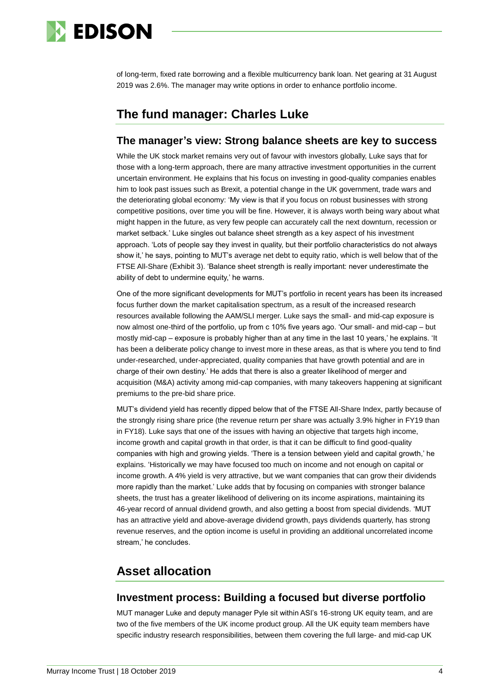

of long-term, fixed rate borrowing and a flexible multicurrency bank loan. Net gearing at 31 August 2019 was 2.6%. The manager may write options in order to enhance portfolio income.

# **The fund manager: Charles Luke**

# **The manager's view: Strong balance sheets are key to success**

While the UK stock market remains very out of favour with investors globally, Luke says that for those with a long-term approach, there are many attractive investment opportunities in the current uncertain environment. He explains that his focus on investing in good-quality companies enables him to look past issues such as Brexit, a potential change in the UK government, trade wars and the deteriorating global economy: 'My view is that if you focus on robust businesses with strong competitive positions, over time you will be fine. However, it is always worth being wary about what might happen in the future, as very few people can accurately call the next downturn, recession or market setback.' Luke singles out balance sheet strength as a key aspect of his investment approach. 'Lots of people say they invest in quality, but their portfolio characteristics do not always show it,' he says, pointing to MUT's average net debt to equity ratio, which is well below that of the FTSE All-Share (Exhibit 3). 'Balance sheet strength is really important: never underestimate the ability of debt to undermine equity,' he warns.

One of the more significant developments for MUT's portfolio in recent years has been its increased focus further down the market capitalisation spectrum, as a result of the increased research resources available following the AAM/SLI merger. Luke says the small- and mid-cap exposure is now almost one-third of the portfolio, up from c 10% five years ago. 'Our small- and mid-cap – but mostly mid-cap – exposure is probably higher than at any time in the last 10 years,' he explains. 'It has been a deliberate policy change to invest more in these areas, as that is where you tend to find under-researched, under-appreciated, quality companies that have growth potential and are in charge of their own destiny.' He adds that there is also a greater likelihood of merger and acquisition (M&A) activity among mid-cap companies, with many takeovers happening at significant premiums to the pre-bid share price.

MUT's dividend yield has recently dipped below that of the FTSE All-Share Index, partly because of the strongly rising share price (the revenue return per share was actually 3.9% higher in FY19 than in FY18). Luke says that one of the issues with having an objective that targets high income, income growth and capital growth in that order, is that it can be difficult to find good-quality companies with high and growing yields. 'There is a tension between yield and capital growth,' he explains. 'Historically we may have focused too much on income and not enough on capital or income growth. A 4% yield is very attractive, but we want companies that can grow their dividends more rapidly than the market.' Luke adds that by focusing on companies with stronger balance sheets, the trust has a greater likelihood of delivering on its income aspirations, maintaining its 46-year record of annual dividend growth, and also getting a boost from special dividends. 'MUT has an attractive yield and above-average dividend growth, pays dividends quarterly, has strong revenue reserves, and the option income is useful in providing an additional uncorrelated income stream,' he concludes.

# **Asset allocation**

# **Investment process: Building a focused but diverse portfolio**

MUT manager Luke and deputy manager Pyle sit within ASI's 16-strong UK equity team, and are two of the five members of the UK income product group. All the UK equity team members have specific industry research responsibilities, between them covering the full large- and mid-cap UK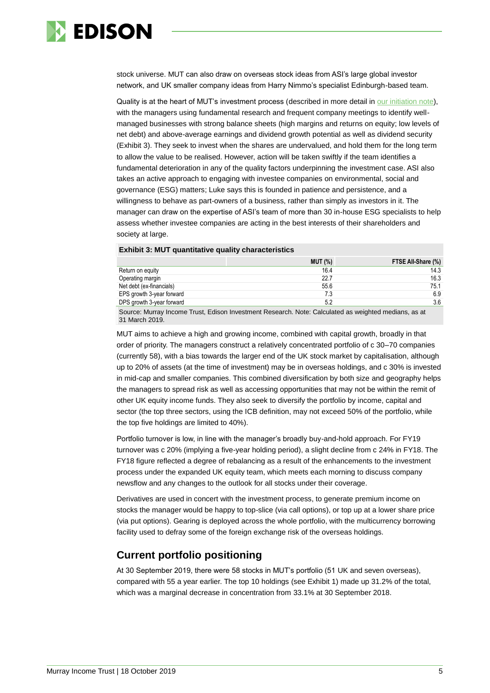

stock universe. MUT can also draw on overseas stock ideas from ASI's large global investor network, and UK smaller company ideas from Harry Nimmo's specialist Edinburgh-based team.

Quality is at the heart of MUT's investment process (described in more detail in [our initiation note\)](https://www.edisongroup.com/publication/positioned-to-perform-in-challenging-conditions/8334), with the managers using fundamental research and frequent company meetings to identify wellmanaged businesses with strong balance sheets (high margins and returns on equity; low levels of net debt) and above-average earnings and dividend growth potential as well as dividend security (Exhibit 3). They seek to invest when the shares are undervalued, and hold them for the long term to allow the value to be realised. However, action will be taken swiftly if the team identifies a fundamental deterioration in any of the quality factors underpinning the investment case. ASI also takes an active approach to engaging with investee companies on environmental, social and governance (ESG) matters; Luke says this is founded in patience and persistence, and a willingness to behave as part-owners of a business, rather than simply as investors in it. The manager can draw on the expertise of ASI's team of more than 30 in-house ESG specialists to help assess whether investee companies are acting in the best interests of their shareholders and society at large.

#### **Exhibit 3: MUT quantitative quality characteristics**

|                           | <b>MUT (%)</b> | FTSE All-Share (%) |
|---------------------------|----------------|--------------------|
| Return on equity          | 16.4           | 14.3               |
| Operating margin          | 22.7           | 16.3               |
| Net debt (ex-financials)  | 55.6           | 75.1               |
| EPS growth 3-year forward | 7.3            | 6.9                |
| DPS growth 3-year forward | 5.2            | 3.6                |
|                           |                |                    |

Source: Murray Income Trust, Edison Investment Research. Note: Calculated as weighted medians, as at 31 March 2019.

MUT aims to achieve a high and growing income, combined with capital growth, broadly in that order of priority. The managers construct a relatively concentrated portfolio of c 30–70 companies (currently 58), with a bias towards the larger end of the UK stock market by capitalisation, although up to 20% of assets (at the time of investment) may be in overseas holdings, and c 30% is invested in mid-cap and smaller companies. This combined diversification by both size and geography helps the managers to spread risk as well as accessing opportunities that may not be within the remit of other UK equity income funds. They also seek to diversify the portfolio by income, capital and sector (the top three sectors, using the ICB definition, may not exceed 50% of the portfolio, while the top five holdings are limited to 40%).

Portfolio turnover is low, in line with the manager's broadly buy-and-hold approach. For FY19 turnover was c 20% (implying a five-year holding period), a slight decline from c 24% in FY18. The FY18 figure reflected a degree of rebalancing as a result of the enhancements to the investment process under the expanded UK equity team, which meets each morning to discuss company newsflow and any changes to the outlook for all stocks under their coverage.

Derivatives are used in concert with the investment process, to generate premium income on stocks the manager would be happy to top-slice (via call options), or top up at a lower share price (via put options). Gearing is deployed across the whole portfolio, with the multicurrency borrowing facility used to defray some of the foreign exchange risk of the overseas holdings.

# **Current portfolio positioning**

At 30 September 2019, there were 58 stocks in MUT's portfolio (51 UK and seven overseas), compared with 55 a year earlier. The top 10 holdings (see Exhibit 1) made up 31.2% of the total, which was a marginal decrease in concentration from 33.1% at 30 September 2018.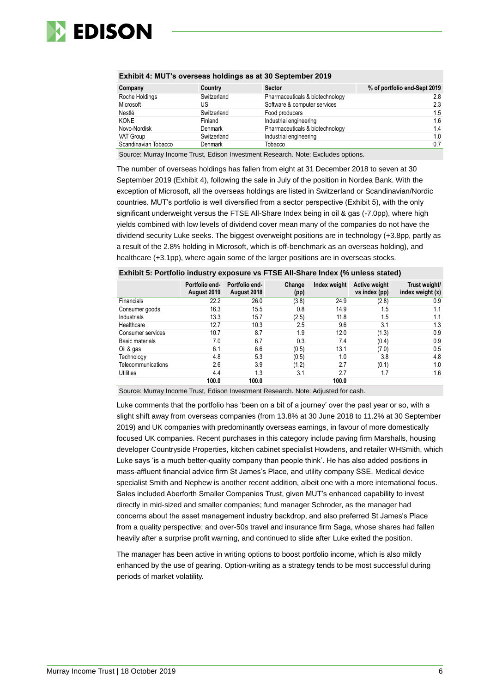

| Company              | Country     | <b>Sector</b>                                                                             | % of portfolio end-Sept 2019 |
|----------------------|-------------|-------------------------------------------------------------------------------------------|------------------------------|
| Roche Holdings       | Switzerland | Pharmaceuticals & biotechnology                                                           | 2.8                          |
| Microsoft            | US          | Software & computer services                                                              | 2.3                          |
| Nestlé               | Switzerland | Food producers                                                                            | 1.5                          |
| <b>KONE</b>          | Finland     | Industrial engineering                                                                    | 1.6                          |
| Novo-Nordisk         | Denmark     | Pharmaceuticals & biotechnology                                                           | 1.4                          |
| VAT Group            | Switzerland | Industrial engineering                                                                    | 1.0                          |
| Scandinavian Tobacco | Denmark     | Tobacco                                                                                   | 0.7                          |
|                      |             | Carrosa, Mugachia sana a Torret, Edisan Indonesia ant Danagarah, Mata, Errahialan antiqua |                              |

### **Exhibit 4: MUT's overseas holdings as at 30 September 2019**

Source: Murray Income Trust, Edison Investment Research. Note: Excludes options.

The number of overseas holdings has fallen from eight at 31 December 2018 to seven at 30 September 2019 (Exhibit 4), following the sale in July of the position in Nordea Bank. With the exception of Microsoft, all the overseas holdings are listed in Switzerland or Scandinavian/Nordic countries. MUT's portfolio is well diversified from a sector perspective (Exhibit 5), with the only significant underweight versus the FTSE All-Share Index being in oil & gas (-7.0pp), where high yields combined with low levels of dividend cover mean many of the companies do not have the dividend security Luke seeks. The biggest overweight positions are in technology (+3.8pp, partly as a result of the 2.8% holding in Microsoft, which is off-benchmark as an overseas holding), and healthcare (+3.1pp), where again some of the larger positions are in overseas stocks.

|                    | Portfolio end-<br>August 2019 | Portfolio end-<br>August 2018 | Change<br>(pp) | Index weight | <b>Active weight</b><br>vs index (pp) | Trust weight/<br>index weight $(x)$ |
|--------------------|-------------------------------|-------------------------------|----------------|--------------|---------------------------------------|-------------------------------------|
| Financials         | 22.2                          | 26.0                          | (3.8)          | 24.9         | (2.8)                                 | 0.9                                 |
| Consumer goods     | 16.3                          | 15.5                          | 0.8            | 14.9         | 1.5                                   | 1.1                                 |
| Industrials        | 13.3                          | 15.7                          | (2.5)          | 11.8         | 1.5                                   | 1.1                                 |
| Healthcare         | 12.7                          | 10.3                          | 2.5            | 9.6          | 3.1                                   | 1.3                                 |
| Consumer services  | 10.7                          | 8.7                           | 1.9            | 12.0         | (1.3)                                 | 0.9                                 |
| Basic materials    | 7.0                           | 6.7                           | 0.3            | 7.4          | (0.4)                                 | 0.9                                 |
| Oil & gas          | 6.1                           | 6.6                           | (0.5)          | 13.1         | (7.0)                                 | 0.5                                 |
| Technology         | 4.8                           | 5.3                           | (0.5)          | 1.0          | 3.8                                   | 4.8                                 |
| Telecommunications | 2.6                           | 3.9                           | (1.2)          | 2.7          | (0.1)                                 | 1.0                                 |
| Utilities          | 4.4                           | 1.3                           | 3.1            | 2.7          | 1.7                                   | 1.6                                 |
|                    | 100.0                         | 100.0                         |                | 100.0        |                                       |                                     |

Source: Murray Income Trust, Edison Investment Research. Note: Adjusted for cash.

Luke comments that the portfolio has 'been on a bit of a journey' over the past year or so, with a slight shift away from overseas companies (from 13.8% at 30 June 2018 to 11.2% at 30 September 2019) and UK companies with predominantly overseas earnings, in favour of more domestically focused UK companies. Recent purchases in this category include paving firm Marshalls, housing developer Countryside Properties, kitchen cabinet specialist Howdens, and retailer WHSmith, which Luke says 'is a much better-quality company than people think'. He has also added positions in mass-affluent financial advice firm St James's Place, and utility company SSE. Medical device specialist Smith and Nephew is another recent addition, albeit one with a more international focus. Sales included Aberforth Smaller Companies Trust, given MUT's enhanced capability to invest directly in mid-sized and smaller companies; fund manager Schroder, as the manager had concerns about the asset management industry backdrop, and also preferred St James's Place from a quality perspective; and over-50s travel and insurance firm Saga, whose shares had fallen heavily after a surprise profit warning, and continued to slide after Luke exited the position.

The manager has been active in writing options to boost portfolio income, which is also mildly enhanced by the use of gearing. Option-writing as a strategy tends to be most successful during periods of market volatility.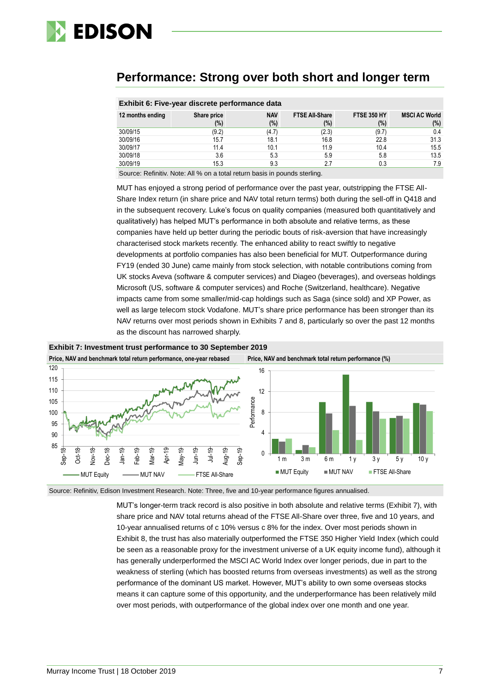

# **Performance: Strong over both short and longer term**

|                  | Exhibit 6: Five-year discrete performance data |                      |                              |                              |                                 |
|------------------|------------------------------------------------|----------------------|------------------------------|------------------------------|---------------------------------|
| 12 months ending | Share price<br>(%)                             | <b>NAV</b><br>$(\%)$ | <b>FTSE All-Share</b><br>(%) | <b>FTSE 350 HY</b><br>$(\%)$ | <b>MSCI AC World</b><br>$(\% )$ |
| 30/09/15         | (9.2)                                          | (4.7)                | (2.3)                        | (9.7)                        | 0.4                             |
| 30/09/16         | 15.7                                           | 18.1                 | 16.8                         | 22.8                         | 31.3                            |
| 30/09/17         | 11.4                                           | 10.1                 | 11.9                         | 10.4                         | 15.5                            |
| 30/09/18         | 3.6                                            | 5.3                  | 5.9                          | 5.8                          | 13.5                            |
| 30/09/19         | 15.3                                           | 9.3                  | 2.7                          | 0.3                          | 7.9                             |
|                  | .                                              |                      |                              |                              |                                 |

#### **Exhibit 6: Five-year discrete performance data**

Source: Refinitiv. Note: All % on a total return basis in pounds sterling.

MUT has enjoyed a strong period of performance over the past year, outstripping the FTSE All-Share Index return (in share price and NAV total return terms) both during the sell-off in Q418 and in the subsequent recovery. Luke's focus on quality companies (measured both quantitatively and qualitatively) has helped MUT's performance in both absolute and relative terms, as these companies have held up better during the periodic bouts of risk-aversion that have increasingly characterised stock markets recently. The enhanced ability to react swiftly to negative developments at portfolio companies has also been beneficial for MUT. Outperformance during FY19 (ended 30 June) came mainly from stock selection, with notable contributions coming from UK stocks Aveva (software & computer services) and Diageo (beverages), and overseas holdings Microsoft (US, software & computer services) and Roche (Switzerland, healthcare). Negative impacts came from some smaller/mid-cap holdings such as Saga (since sold) and XP Power, as well as large telecom stock Vodafone. MUT's share price performance has been stronger than its NAV returns over most periods shown in Exhibits 7 and 8, particularly so over the past 12 months as the discount has narrowed sharply.



**Exhibit 7: Investment trust performance to 30 September 2019**

Source: Refinitiv, Edison Investment Research. Note: Three, five and 10-year performance figures annualised.

MUT's longer-term track record is also positive in both absolute and relative terms (Exhibit 7), with share price and NAV total returns ahead of the FTSE All-Share over three, five and 10 years, and 10-year annualised returns of c 10% versus c 8% for the index. Over most periods shown in Exhibit 8, the trust has also materially outperformed the FTSE 350 Higher Yield Index (which could be seen as a reasonable proxy for the investment universe of a UK equity income fund), although it has generally underperformed the MSCI AC World Index over longer periods, due in part to the weakness of sterling (which has boosted returns from overseas investments) as well as the strong performance of the dominant US market. However, MUT's ability to own some overseas stocks means it can capture some of this opportunity, and the underperformance has been relatively mild over most periods, with outperformance of the global index over one month and one year.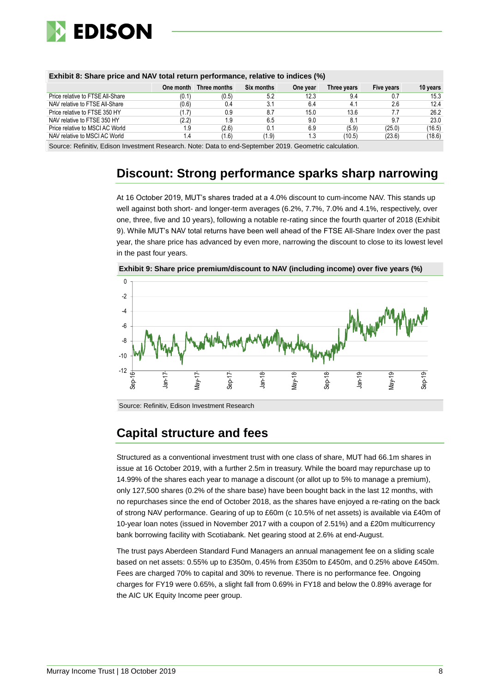

| <b>EXHIBIL 0. SHALE DITCE AND INAVIOLATE CONTINUES TO THE UP TO THE UP TO A LIGHT</b> |               |              |            |          |             |            |          |  |  |
|---------------------------------------------------------------------------------------|---------------|--------------|------------|----------|-------------|------------|----------|--|--|
|                                                                                       | One month     | Three months | Six months | One year | Three years | Five years | 10 years |  |  |
| Price relative to FTSE All-Share                                                      | (0.1)         | (0.5)        | 5.2        | 12.3     | 9.4         |            | 15.3     |  |  |
| NAV relative to FTSE All-Share                                                        | (0.6)         | 0.4          | 3.1        | 6.4      | 4.1         | 2.6        | 12.4     |  |  |
| Price relative to FTSE 350 HY                                                         | (1.7)         | 0.9          | 8.7        | 15.0     | 13.6        | 7.7        | 26.2     |  |  |
| NAV relative to FTSE 350 HY                                                           | (2.2)         | 1.9          | 6.5        | 9.0      | 8.1         | 9.7        | 23.0     |  |  |
| Price relative to MSCI AC World                                                       | 1.9           | (2.6)        | 0.1        | 6.9      | (5.9)       | (25.0)     | (16.5)   |  |  |
| NAV relative to MSCI AC World                                                         | $\mathcal{A}$ | (1.6)        | (1.9)      | 1.3      | (10.5)      | (23.6)     | (18.6)   |  |  |

## **Exhibit 8: Share price and NAV total return performance, relative to indices (%)**

Source: Refinitiv, Edison Investment Research. Note: Data to end-September 2019. Geometric calculation.

# **Discount: Strong performance sparks sharp narrowing**

At 16 October 2019, MUT's shares traded at a 4.0% discount to cum-income NAV. This stands up well against both short- and longer-term averages (6.2%, 7.7%, 7.0% and 4.1%, respectively, over one, three, five and 10 years), following a notable re-rating since the fourth quarter of 2018 (Exhibit 9). While MUT's NAV total returns have been well ahead of the FTSE All-Share Index over the past year, the share price has advanced by even more, narrowing the discount to close to its lowest level in the past four years.



Jan-18

lav- $\overline{ }$ 

Sep-18

Jan-19

May-19

 $\sec 19$ 

**Exhibit 9: Share price premium/discount to NAV (including income) over five years (%)**

Jan-17

-12

.<br>Sep

# **Capital structure and fees**

May-17

Sep-17

Structured as a conventional investment trust with one class of share, MUT had 66.1m shares in issue at 16 October 2019, with a further 2.5m in treasury. While the board may repurchase up to 14.99% of the shares each year to manage a discount (or allot up to 5% to manage a premium), only 127,500 shares (0.2% of the share base) have been bought back in the last 12 months, with no repurchases since the end of October 2018, as the shares have enjoyed a re-rating on the back of strong NAV performance. Gearing of up to £60m (c 10.5% of net assets) is available via £40m of 10-year loan notes (issued in November 2017 with a coupon of 2.51%) and a £20m multicurrency bank borrowing facility with Scotiabank. Net gearing stood at 2.6% at end-August.

The trust pays Aberdeen Standard Fund Managers an annual management fee on a sliding scale based on net assets: 0.55% up to £350m, 0.45% from £350m to £450m, and 0.25% above £450m. Fees are charged 70% to capital and 30% to revenue. There is no performance fee. Ongoing charges for FY19 were 0.65%, a slight fall from 0.69% in FY18 and below the 0.89% average for the AIC UK Equity Income peer group.

Source: Refinitiv, Edison Investment Research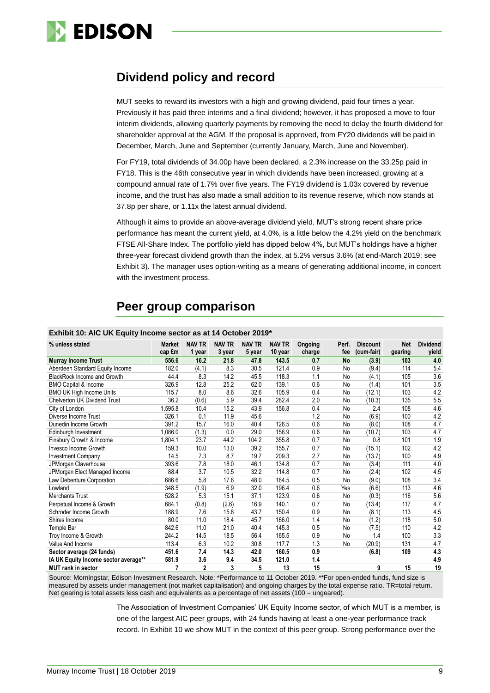

# **Dividend policy and record**

MUT seeks to reward its investors with a high and growing dividend, paid four times a year. Previously it has paid three interims and a final dividend; however, it has proposed a move to four interim dividends, allowing quarterly payments by removing the need to delay the fourth dividend for shareholder approval at the AGM. If the proposal is approved, from FY20 dividends will be paid in December, March, June and September (currently January, March, June and November).

For FY19, total dividends of 34.00p have been declared, a 2.3% increase on the 33.25p paid in FY18. This is the 46th consecutive year in which dividends have been increased, growing at a compound annual rate of 1.7% over five years. The FY19 dividend is 1.03x covered by revenue income, and the trust has also made a small addition to its revenue reserve, which now stands at 37.8p per share, or 1.11x the latest annual dividend.

Although it aims to provide an above-average dividend yield, MUT's strong recent share price performance has meant the current yield, at 4.0%, is a little below the 4.2% yield on the benchmark FTSE All-Share Index. The portfolio yield has dipped below 4%, but MUT's holdings have a higher three-year forecast dividend growth than the index, at 5.2% versus 3.6% (at end-March 2019; see Exhibit 3). The manager uses option-writing as a means of generating additional income, in concert with the investment process.

# **Peer group comparison**

| Exhibit 10: AIC UK Equity Income sector as at 14 October 2019* |                         |                         |                         |                         |                          |                   |              |                               |                       |                          |
|----------------------------------------------------------------|-------------------------|-------------------------|-------------------------|-------------------------|--------------------------|-------------------|--------------|-------------------------------|-----------------------|--------------------------|
| % unless stated                                                | <b>Market</b><br>cap £m | <b>NAV TR</b><br>1 year | <b>NAV TR</b><br>3 year | <b>NAV TR</b><br>5 year | <b>NAV TR</b><br>10 year | Ongoing<br>charge | Perf.<br>fee | <b>Discount</b><br>(cum-fair) | <b>Net</b><br>gearing | <b>Dividend</b><br>yield |
| <b>Murray Income Trust</b>                                     | 556.6                   | 16.2                    | 21.8                    | 47.8                    | 143.5                    | 0.7               | <b>No</b>    | (3.9)                         | 103                   | 4.0                      |
| Aberdeen Standard Equity Income                                | 182.0                   | (4.1)                   | 8.3                     | 30.5                    | 121.4                    | 0.9               | No           | (9.4)                         | 114                   | 5.4                      |
| <b>BlackRock Income and Growth</b>                             | 44.4                    | 8.3                     | 14.2                    | 45.5                    | 118.3                    | 1.1               | No           | (4.1)                         | 105                   | 3.6                      |
| <b>BMO Capital &amp; Income</b>                                | 326.9                   | 12.8                    | 25.2                    | 62.0                    | 139.1                    | 0.6               | No           | (1.4)                         | 101                   | 3.5                      |
| <b>BMO UK High Income Units</b>                                | 115.7                   | 8.0                     | 8.6                     | 32.6                    | 105.9                    | 0.4               | No           | (12.1)                        | 103                   | 4.2                      |
| <b>Chelverton UK Dividend Trust</b>                            | 36.2                    | (0.6)                   | 5.9                     | 39.4                    | 282.4                    | 2.0               | No           | (10.3)                        | 135                   | 5.5                      |
| City of London                                                 | 1,595.8                 | 10.4                    | 15.2                    | 43.9                    | 156.8                    | 0.4               | No           | 2.4                           | 108                   | 4.6                      |
| Diverse Income Trust                                           | 326.1                   | 0.1                     | 11.9                    | 45.6                    |                          | 1.2               | No           | (6.9)                         | 100                   | 4.2                      |
| Dunedin Income Growth                                          | 391.2                   | 15.7                    | 16.0                    | 40.4                    | 126.5                    | 0.6               | No           | (8.0)                         | 108                   | 4.7                      |
| Edinburgh Investment                                           | 1.086.0                 | (1.3)                   | 0.0                     | 29.0                    | 156.9                    | 0.6               | No           | (10.7)                        | 103                   | 4.7                      |
| Finsbury Growth & Income                                       | 1,804.1                 | 23.7                    | 44.2                    | 104.2                   | 355.8                    | 0.7               | No           | 0.8                           | 101                   | 1.9                      |
| Invesco Income Growth                                          | 159.3                   | 10.0                    | 13.0                    | 39.2                    | 155.7                    | 0.7               | No           | (15.1)                        | 102                   | 4.2                      |
| <b>Investment Company</b>                                      | 14.5                    | 7.3                     | 8.7                     | 19.7                    | 209.3                    | 2.7               | No           | (13.7)                        | 100                   | 4.9                      |
| JPMorgan Claverhouse                                           | 393.6                   | 7.8                     | 18.0                    | 46.1                    | 134.8                    | 0.7               | No           | (3.4)                         | 111                   | 4.0                      |
| JPMorgan Elect Managed Income                                  | 88.4                    | 3.7                     | 10.5                    | 32.2                    | 114.8                    | 0.7               | No           | (2.4)                         | 102                   | 4.5                      |
| Law Debenture Corporation                                      | 686.6                   | 5.8                     | 17.6                    | 48.0                    | 164.5                    | 0.5               | No           | (9.0)                         | 108                   | 3.4                      |
| Lowland                                                        | 348.5                   | (1.9)                   | 6.9                     | 32.0                    | 196.4                    | 0.6               | Yes          | (6.6)                         | 113                   | 4.6                      |
| <b>Merchants Trust</b>                                         | 528.2                   | 5.3                     | 15.1                    | 37.1                    | 123.9                    | 0.6               | No           | (0.3)                         | 116                   | 5.6                      |
| Perpetual Income & Growth                                      | 684.1                   | (0.8)                   | (2.6)                   | 16.9                    | 140.1                    | 0.7               | No           | (13.4)                        | 117                   | 4.7                      |
| Schroder Income Growth                                         | 188.9                   | 7.6                     | 15.8                    | 43.7                    | 150.4                    | 0.9               | No           | (8.1)                         | 113                   | 4.5                      |
| Shires Income                                                  | 80.0                    | 11.0                    | 18.4                    | 45.7                    | 166.0                    | 1.4               | No           | (1.2)                         | 118                   | 5.0                      |
| Temple Bar                                                     | 842.6                   | 11.0                    | 21.0                    | 40.4                    | 145.3                    | 0.5               | No           | (7.5)                         | 110                   | 4.2                      |
| Troy Income & Growth                                           | 244.2                   | 14.5                    | 18.5                    | 56.4                    | 165.5                    | 0.9               | No           | 1.4                           | 100                   | 3.3                      |
| Value And Income                                               | 113.4                   | 6.3                     | 10.2                    | 30.8                    | 117.7                    | 1.3               | No           | (20.9)                        | 131                   | 4.7                      |
| Sector average (24 funds)                                      | 451.6                   | 7.4                     | 14.3                    | 42.0                    | 160.5                    | 0.9               |              | (6.8)                         | 109                   | 4.3                      |
| IA UK Equity Income sector average**                           | 581.9                   | 3.6                     | 9.4                     | 34.5                    | 121.0                    | 1.4               |              |                               |                       | 4.9                      |
| <b>MUT</b> rank in sector                                      | $\overline{7}$          | $\overline{2}$          | 3                       | 5                       | 13                       | 15                |              | 9                             | 15                    | 19                       |

#### **Exhibit 10: AIC UK Equity Income sector as at 14 October 2019\***

Source: Morningstar, Edison Investment Research. Note: \*Performance to 11 October 2019. \*\*For open-ended funds, fund size is measured by assets under management (not market capitalisation) and ongoing charges by the total expense ratio. TR=total return. Net gearing is total assets less cash and equivalents as a percentage of net assets (100 = ungeared).

> The Association of Investment Companies' UK Equity Income sector, of which MUT is a member, is one of the largest AIC peer groups, with 24 funds having at least a one-year performance track record. In Exhibit 10 we show MUT in the context of this peer group. Strong performance over the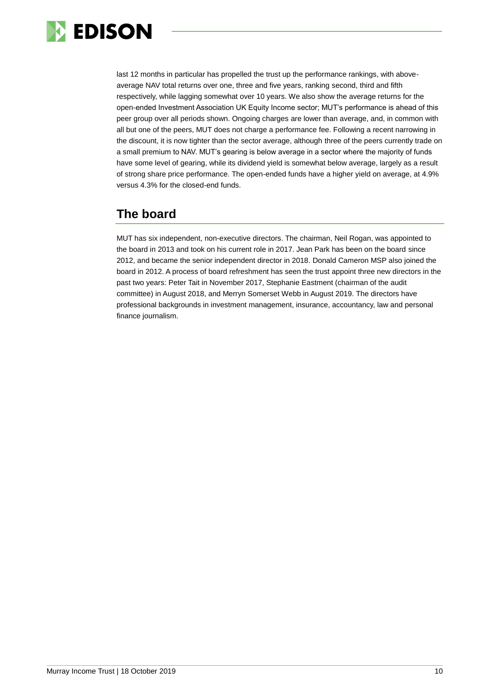

last 12 months in particular has propelled the trust up the performance rankings, with aboveaverage NAV total returns over one, three and five years, ranking second, third and fifth respectively, while lagging somewhat over 10 years. We also show the average returns for the open-ended Investment Association UK Equity Income sector; MUT's performance is ahead of this peer group over all periods shown. Ongoing charges are lower than average, and, in common with all but one of the peers, MUT does not charge a performance fee. Following a recent narrowing in the discount, it is now tighter than the sector average, although three of the peers currently trade on a small premium to NAV. MUT's gearing is below average in a sector where the majority of funds have some level of gearing, while its dividend yield is somewhat below average, largely as a result of strong share price performance. The open-ended funds have a higher yield on average, at 4.9% versus 4.3% for the closed-end funds.

# **The board**

MUT has six independent, non-executive directors. The chairman, Neil Rogan, was appointed to the board in 2013 and took on his current role in 2017. Jean Park has been on the board since 2012, and became the senior independent director in 2018. Donald Cameron MSP also joined the board in 2012. A process of board refreshment has seen the trust appoint three new directors in the past two years: Peter Tait in November 2017, Stephanie Eastment (chairman of the audit committee) in August 2018, and Merryn Somerset Webb in August 2019. The directors have professional backgrounds in investment management, insurance, accountancy, law and personal finance journalism.